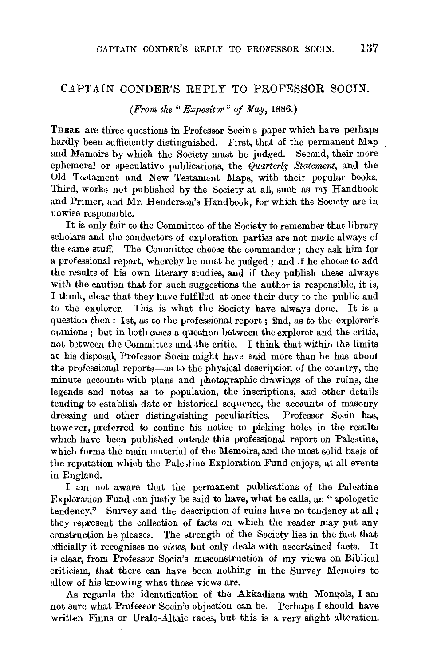# CAPTAIN CONDER'S REPLY TO PROFESSOR SOCIN.

# *(From the "Expositor" of May, 1886.)*

THERE are three questions in Professor Socin's paper which have perhaps hardly been sufficiently distinguished. First, that of the permanent Map and Memoirs by which the Society must be judged. Second, their more ephemeral or speculative publications, the *Quarterly Statement,* and the Old Testament and New Testament Maps, with their popular books. Third, works not published by the Society at all, such as my Handbook and Primer, and Mr. Henderson's Handbook, for which the Society are in nowise responsible.

It is only fair to the Committee of the Society to remember that library scholars and the conductors of exploration parties are not made always of the same stuff. The Committee choose the commander ; they ask him for a professional report, whereby he must be judged; and if he choose to add the results of his own literary studies, and if they publish these always with the caution that for such suggestions the author is responsible, it is, I think, clear that they have fulfilled at once their duty to the public and to the explorer. This is what the Society have always done. It is a question then: 1st, as to the professional report; 2nd, as to the explorer's Gpinions; but in both cases a question between the explorer and the critic, not between the Committee and the critic. I think that within the limits at his disposal, Professor Socin might have said more than he has about the professional reports-as to the physical description of the country, the minute accounts with plans and photographic drawings of the ruins, the legends and notes as to population, the inscriptions, and other details tending to establish date or historical sequence, the accounts of masonry dressing and other distinguishing peculiarities. Professor Socin has, however, preferred to confine his notice to picking holes in the results which have been published outside this professional report on Palestine, which forms the main material of the Memoirs, and the most solid basis of the reputation which the Palestine Exploration Fund enjoys, at all events in England.

I am nut aware that the permanent publications of the Palestine Exploration Fund can justly be said to have, what he calls, an "apologetic tendency." Survey and the description of ruins have no tendency at all; they represent the collection of facts on which the reader may put any construction he pleases. The strength of the Society lies in the fact that officially it recognises no *views*, but only deals with ascertained facts. It is clear, from Professor Socin's misconstruction of my views on Biblical criticism, that there can have been nothing in the Survey Memoirs to allow of his knowing what those views are.

As regards the identification of the Akkadians with Mongols, I am not sure what Professor Socin's objection can be. Perhaps I should have written Finns or Uralo-Altaic races, but this is a very slight alteration.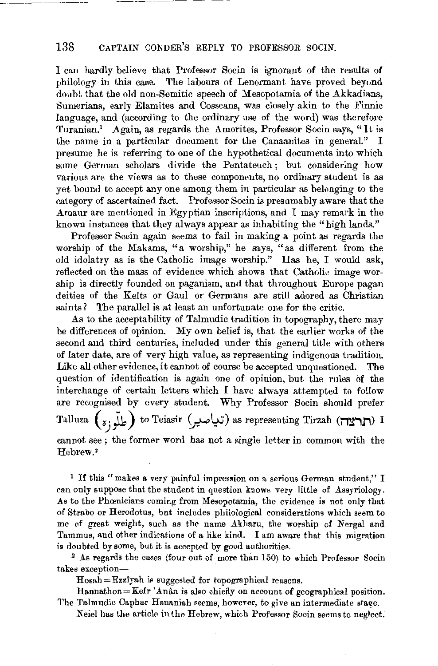# 138 CAPTAIN CONDER'S REPLY TO PROFESSOR SOCIN.

I can hardly believe that Professor Socin is ignorant of the results of philology in this case. The labours of Lenormant have proved beyond doubt that the old non-Semitic speech of Mesopotamia of the Akkadians, Sumerians, early Elamites and Cosseans, was closely akin to the Finnic language, and (according to the ordinary use of the word) was therefore Turanian.<sup>1</sup> Again, as regards the Amorites, Professor Socin says, "It is the name in a particular document for the Canaanites in general." I presume he is referring to one of the hypothetical documents into which some German scholars divide the Pentateuch ; but considering how various are the views as to these components, no ordinary student is as yet bound to accept any one among them in particular as belonging to the category of ascertained fact. Professor Socin is presumably aware that the Amaur are mentioned in Egyptian inscriptions, and I may remark in the known instances that they always appear as inhabiting the "high lands."

Professor Socin again seems to fail in making a point as regards the worship of the Makams, "a worship," he says, "as different from the old idolatry as is the Catholic image worship." Has he, I would ask, reflected on the mass of evidence which shows that Catholic image worship is directly founded on paganism, and that throughout Europe pagan deities of the Kelts or Gaul or Germans are still adored as Christian saints? The parallel is at least an unfortunate one for the critic.

As to the acceptability of Talmudic tradition in topography, there may be differences of opinion. My own belief is, that the earlier works of the second and third centuries, included under this general title with others of later date, are of very high value, as representing indigenous tradition. Like all other evidence, it cannot of course be accepted unquestioned. The question of identification is again one of opinion, but the rules of the interchange of certain letters which I have always attempted to follow are recognised by every student. Why Professor Socin should prefer Talluza  $\binom{x}{i}$ to Teiasir (تياصير) as representing Tirzah (**II: (II:**t cannot see ; the former word has not a single letter in common with the Hebrew.<sup>2</sup>

1 If this "makes a very painful impression on a serious German student," I can only suppose that the student in question knows very little of Assyriology . As to the Phoenicians coming from Mesopotamia, the evidence is not only that of Strabo or Herodotus, but includes philological considerations which seem to me of great weight, such as the name Akharu, the worship of Nergal and Tammus, and other indications of a like kind. I am aware that this migration

<sup>2</sup> As regards the cases (four out of more than 150) to which Professor Socin takes exception-

 $H$ osah = Ezzîyah is suggested for topographical reasons.

 $H$ annathon =  $K$ efr 'An an is also chiefly on account of geographical position. The Talmudic Caphar Hananiah seems, however, to give an intermediate stage.

N eiel has the article in the Hebrew, which Professor Socin seems to neglect.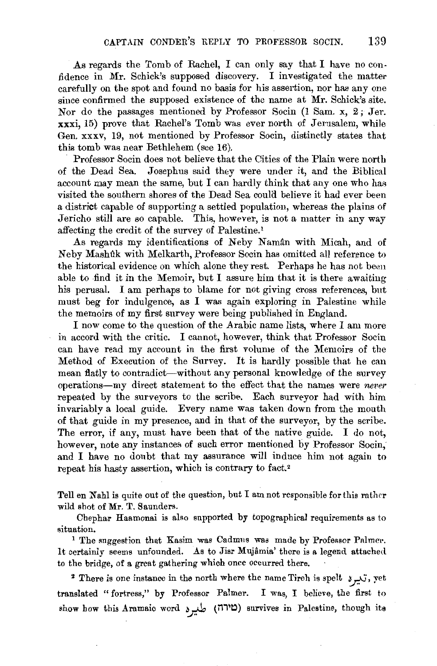As regards the Tomb of Rachel, I can only say that I have no confidence in Mr. Schick's supposed discovery. I investigated the matter carefully on the spot and found no basis for his assertion, nor has any one since confirmed the supposed existence of the name at Mr. Schick's site. Nor do the passages mentioned by Professor Socin  $(1 \text{ Sam. } x, 2;$  Jer. xxxi, 15) prove that Rachel's Tomb was ever north of Jerusalem, while Gen. xxxv, 19, not mentioned by Professor Socin, distinctly states that this tomb was near Bethlehem (see 16).

Professor Socin does not believe that the Cities of the Plain were north of the Dead Sea. Josephus said they were under it, and the Biblical account may mean the same, but I can hardly think that any one who has visited the southern shores of the Dead Sea could believe it had ever been a district capable of supporting a settled population, whereas the plains of Jericho still are so capable. This, however, is not a matter in any way affecting the credit of the survey of Palestine.1

As regards my identifications of Neby Naman with Micah, and of Neby Mashûk with Melkarth, Professor Socin has omitted all reference to the historical evidence on which alone they rest. Perhaps he has not been able to find it in the Memoir, but I assure him that it is there awaiting his perusal. I am perhaps to blame for not giving cross references, but must beg for indulgence, as I was again exploring in Palestine while the memoirs of my first survey were being published in England.

I now come to the question of the Arabic name lists, where I am more in accord with the critic. I cannot, however, think that Professor Socin can have read my account in the first volume of the Memoirs of the Method of Execution of the Survey. It is hardly possible that he can mean flatly to contradict-without any personal knowledge of the survey operations-my direct statement to the effect that the names were *never* repeated by the surveyors to the scribe. Each surveyor had with him invariably a local guide. Every name was taken down from the mouth of that guide in my presence, and in that of the surveyor, by the scribe. The error, if any, must have been that of the native guide. I do not, however, note any instances of such error mentioned by Professor Socin, and I have no doubt that my assurance will induce him not again to repeat his hasty assertion, which is contrary to fact.'

Tell en Nahl is quite out of the question, but I am not responsible for this rather wild shot of Mr. T. Saunders.

Chephar Haamonai is also supported by topographical requirements as to situation. 1 The suggestion that Rasim was Cadmns was made by Professor Palmer.

It certainly seems unfounded. As to Jisr Mujâmia' there is a legend attached to the bridge, of a great gathering which once occurred there.

2 There is one instance in the north where the name Tireh is spelt  $\chi$ , yet translated "fortress," by Professor Palmer. I was, I believe, the first to show bow this Aramaic word ~ **(i111 0)** survives in Palestine, though its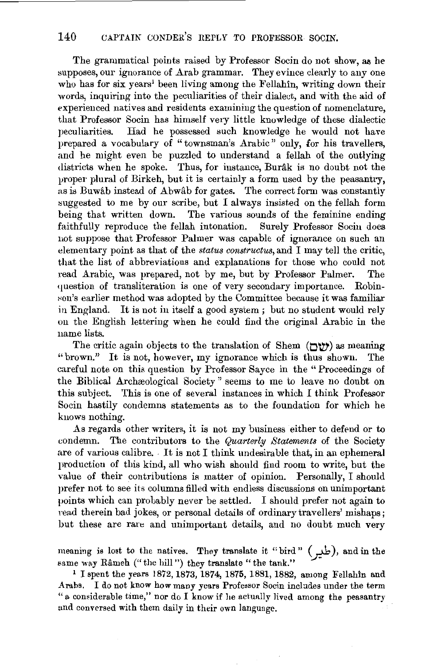## 140 CAPTAIN CONDER'S REPLY TO PROFESSOR SOCIN.

The grammatical points raised by Professor Socin do not show, as he supposes, our ignorance of Arab grammar. They evince clearly to any one who has for six years<sup>1</sup> been living among the Fellahin, writing down their words, inquiring into the peculiarities of their dialect, and with the aid of experienced natives and residents examining the question of nomenclature, that Professor Socin has himself very little knowledge of these dialectic peculiarities. Had he possessed such knowledge he would not have prepared a vocabulary of "townsman's Arabic" only, for his travellers, and he might even be puzzled to understand a fellah of the outlying districts when he spoke. Thus, for instance, Burak is no doubt not the proper plural of Birkeh, but it is certainly a form used by the peasantry, as is Buwab instead of Abwab for gates. The correct form was constantly suggested to me by our scribe, but I always insisted on the fellah form being that written down. The various sounds of the feminine ending faithfully reproduce the fellah intonation. Surely Professor Sociu does not suppose that Professor Palmer was capable of ignorance on such an elementary point as that of the *status constructus,* and I may tell the critic, that the list of abbreviations and explanations for those who could not read Arabic, was prepared, not by me, but by Professor Palmer. The question of transliteration is one of very secondary importance. Robin- ~ou's earlier method was adopted by the Committee because it was familiar in England. It is not in itself a good system ; but no student would rely on the English lettering when he could find the original Arabic in the name lists.

The critic again objects to the translation of Shem ( $y$ ) as meaning "brown." It is not, however, my ignorance which is thus shown. The careful note on this question by Professor Sayee in the "Proceedings of the Biblical Archaeological Society" seems to me to leave no doubt on this subject. This is one of several instances in which I think Professor Socin hastily condemns statements as to the foundation for which he knows nothing.

As regards other writers, it is not my business either to defend or to condemn. The contributors to the *Quarterly Statements* of the Society are of various calibre. - It is not I think undesirable that, in an ephemeral production of this kind, all who wish should find room to write, but the value of their contributions is matter of opinion. Personally, I should prefer not to see its columns filled with endless discussions on unimportant points which can probably never be settled. I should prefer not again to read therein bad jokes, or personal details of ordinary travellers' mishaps; but these are rare and unimportant details, and no doubt much very

meaning is lost to the natives. They translate it "bird"  $($ طیر), and in the same way Râmeh ("the hill") they translate " the tank."

<sup>1</sup>I spent the years 1872,1873, 1874, 1875, 1881, 1882, among Fellahin and Arabs. I do not know how many years Professor Socin includes under the term "a considerable time," nor do I know if he actually lived among the peasantry and conversed with them daily in their own language.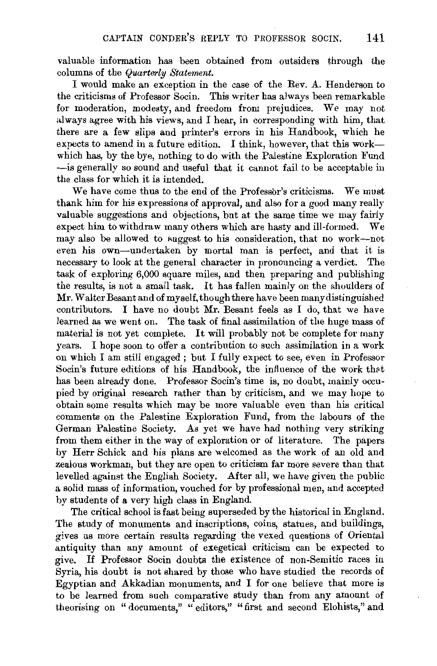valuable information has been obtained from outsiders through the columns of the *Quarterly Statement.* 

I would make an exception in the case of the Rev. A. Henderson to the criticisms of Professor Socin. This writer has always been remarkable for moderation, modesty, and freedom from prejudices. We may not always agree with his views, and I hear, in corresponding with him, that there are a few slips and printer's errors in his Handbook, which he expects to amend in a future edition. I think, however, that this workwhich has, by the bye, nothing to do with the Palestine Exploration Fund -is generally so sound and useful that it cannot fail to be acceptable in the class for which it is intended.

We have come thus to the end of the Professor's criticisms. We must thank him for his expressions of approval, and also for a good many really valuable suggestions and objections, but at the same time we may fairly expect him to withdraw many others which are hasty and ill-formed. We may also be allowed to suggest to his consideration, that no work--not even his own-undertaken by mortal man is perfect, and that it is necessary to look at the general character in pronouncing a verdict. The task of exploring 6,000 square miles, and then preparing and publishing the results, is not a small task. It has fallen mainly on the shoulders of Mr. W alter Besant and of myself, though there have been many distinguished contributors. I have no doubt Mr. Besant feels as I do, that we have learned as we went on. The task of final assimilation of the huge mass of material is not yet complete. It will probably not be complete for many years. I hope soon to offer a contribution to such assimilation in a work on which I am still engaged ; but I fully expect to see, even in Professor Socin's future editions of his Handbook, the influence of the work that has been already done. Professor Socin's time is, no doubt, mainly occupied by original research rather than by criticism, and we may hope to obtain some results which may be more valuable even than his critical comments on the Palestine Exploration Fund, from the labours of the German Palestine Society. As yet we have had nothing very striking from them either in the way of exploration or of literature. The papers by Herr Schick and his plans are welcomed as the work of an old and zealous workman, but they are open to criticism far more severe than that levelled against the English Society. After all, we have given the public a solid mass of information, vouched for by professional men, and accepted by students of a very high class in England.

The critical school is fast being superseded by the historical in England. The study of monuments and inscriptions, coins, statues, and buildings, gives us more certain results regarding the vexed questions of Oriental antiquity than any amount of exegetical criticism can be expected to give. If Professor Socin doubts the existence of non-Semitic races in Syria, his doubt is not shared by those who have studied the records of Egyptian and Akkadian monuments, and I for one believe that more is to be learned from such comparative study than from any amount of theorising on "documents," "editors," "first and second Elohists," and